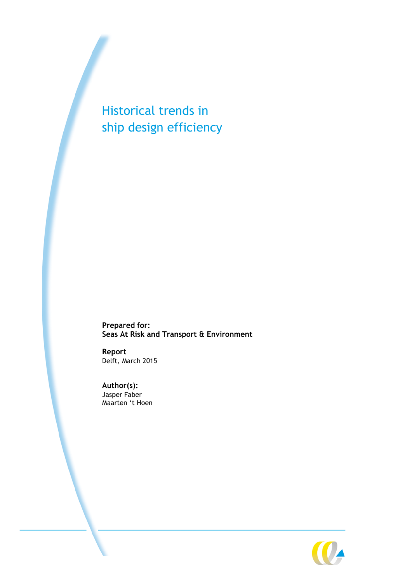Historical trends in ship design efficiency

**Prepared for: Seas At Risk and Transport & Environment**

**Report** Delft, March 2015

**Author(s):** Jasper Faber Maarten 't Hoen

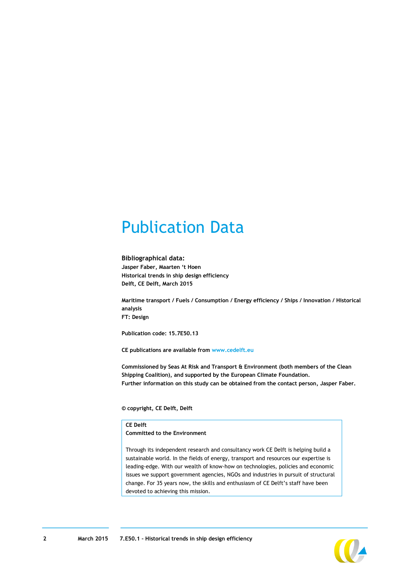### Publication Data

#### **Bibliographical data:**

**Jasper Faber, Maarten 't Hoen Historical trends in ship design efficiency Delft, CE Delft, March 2015**

**Maritime transport / Fuels / Consumption / Energy efficiency / Ships / Innovation / Historical analysis FT: Design**

**Publication code: 15.7E50.13**

**CE publications are available from [www.cedelft.eu](http://www.cedelft.eu/)**

**Commissioned by Seas At Risk and Transport & Environment (both members of the Clean Shipping Coalition), and supported by the European Climate Foundation. Further information on this study can be obtained from the contact person, Jasper Faber.**

**© copyright, CE Delft, Delft**

#### **CE Delft**

**Committed to the Environment**

Through its independent research and consultancy work CE Delft is helping build a sustainable world. In the fields of energy, transport and resources our expertise is leading-edge. With our wealth of know-how on technologies, policies and economic issues we support government agencies, NGOs and industries in pursuit of structural change. For 35 years now, the skills and enthusiasm of CE Delft's staff have been devoted to achieving this mission.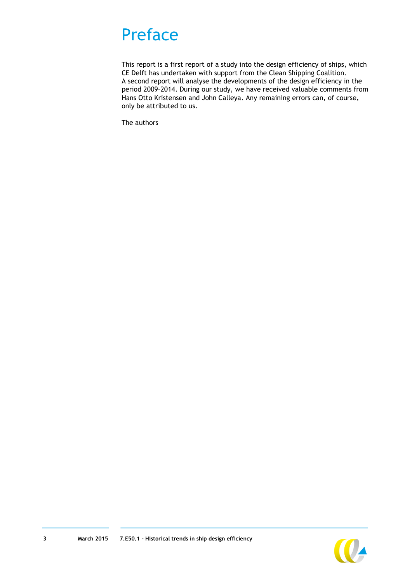### Preface

This report is a first report of a study into the design efficiency of ships, which CE Delft has undertaken with support from the Clean Shipping Coalition. A second report will analyse the developments of the design efficiency in the period 2009–2014. During our study, we have received valuable comments from Hans Otto Kristensen and John Calleya. Any remaining errors can, of course, only be attributed to us.

The authors

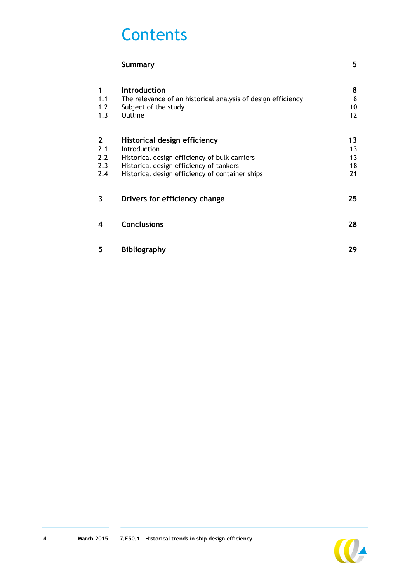### **Contents**

|                                          | <b>Summary</b>                                                                                                                                                                              | 5                                 |
|------------------------------------------|---------------------------------------------------------------------------------------------------------------------------------------------------------------------------------------------|-----------------------------------|
| 1<br>1.1<br>1.2<br>1.3                   | <b>Introduction</b><br>The relevance of an historical analysis of design efficiency<br>Subject of the study<br>Outline                                                                      | 8<br>8<br>10<br>$12 \overline{ }$ |
| $\mathbf{2}$<br>2.1<br>2.2<br>2.3<br>2.4 | Historical design efficiency<br>Introduction<br>Historical design efficiency of bulk carriers<br>Historical design efficiency of tankers<br>Historical design efficiency of container ships | 13<br>13<br>13<br>18<br>21        |
| 3                                        | Drivers for efficiency change                                                                                                                                                               | 25                                |
| 4                                        | <b>Conclusions</b>                                                                                                                                                                          | 28                                |
| 5                                        | <b>Bibliography</b>                                                                                                                                                                         | 29                                |

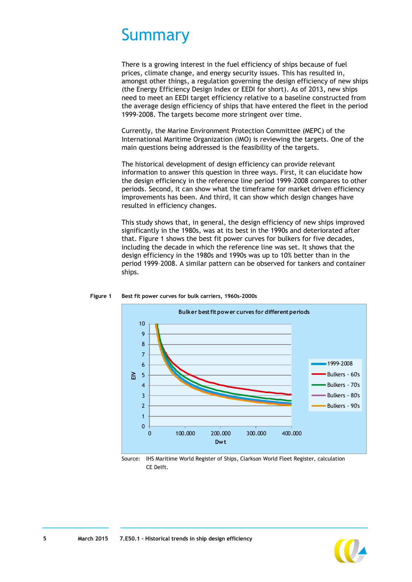### <span id="page-4-0"></span>Summary

There is a growing interest in the fuel efficiency of ships because of fuel prices, climate change, and energy security issues. This has resulted in, amongst other things, a regulation governing the design efficiency of new ships (the Energy Efficiency Design Index or EEDI for short). As of 2013, new ships need to meet an EEDI target efficiency relative to a baseline constructed from the average design efficiency of ships that have entered the fleet in the period 1999-2008. The targets become more stringent over time.

Currently, the Marine Environment Protection Committee (MEPC) of the International Maritime Organization (IMO) is reviewing the targets. One of the main questions being addressed is the feasibility of the targets.

The historical development of design efficiency can provide relevant information to answer this question in three ways. First, it can elucidate how the design efficiency in the reference line period 1999–2008 compares to other periods. Second, it can show what the timeframe for market driven efficiency improvements has been. And third, it can show which design changes have resulted in efficiency changes.

This study shows that, in general, the design efficiency of new ships improved significantly in the 1980s, was at its best in the 1990s and deteriorated after that. [Figure 1](#page-4-1) shows the best fit power curves for bulkers for five decades, including the decade in which the reference line was set. It shows that the design efficiency in the 1980s and 1990s was up to 10% better than in the period 1999–2008. A similar pattern can be observed for tankers and container ships.



<span id="page-4-1"></span>**Figure 1 Best fit power curves for bulk carriers, 1960s-2000s**

Source: IHS Maritime World Register of Ships, Clarkson World Fleet Register, calculation CE Delft.

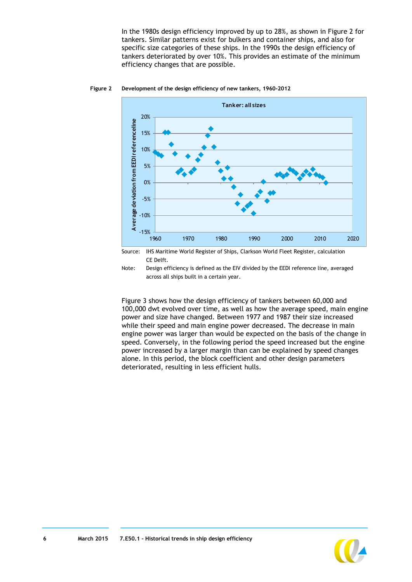In the 1980s design efficiency improved by up to 28%, as shown in [Figure 2](#page-5-0) for tankers. Similar patterns exist for bulkers and container ships, and also for specific size categories of these ships. In the 1990s the design efficiency of tankers deteriorated by over 10%. This provides an estimate of the minimum efficiency changes that are possible.



#### <span id="page-5-0"></span>**Figure 2 Development of the design efficiency of new tankers, 1960-2012**



Note: Design efficiency is defined as the EIV divided by the EEDI reference line, averaged across all ships built in a certain year.

[Figure 3](#page-6-0) shows how the design efficiency of tankers between 60,000 and 100,000 dwt evolved over time, as well as how the average speed, main engine power and size have changed. Between 1977 and 1987 their size increased while their speed and main engine power decreased. The decrease in main engine power was larger than would be expected on the basis of the change in speed. Conversely, in the following period the speed increased but the engine power increased by a larger margin than can be explained by speed changes alone. In this period, the block coefficient and other design parameters deteriorated, resulting in less efficient hulls.

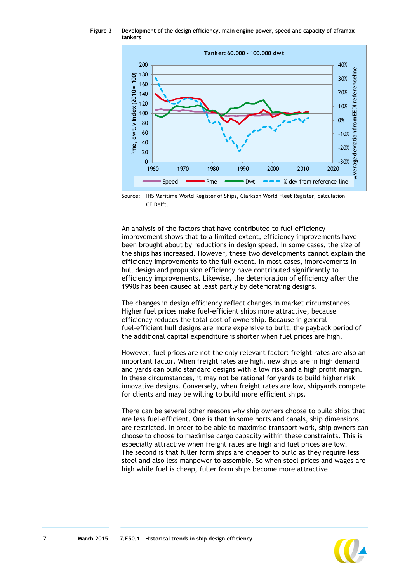<span id="page-6-0"></span>**Figure 3 Development of the design efficiency, main engine power, speed and capacity of aframax tankers**



Source: IHS Maritime World Register of Ships, Clarkson World Fleet Register, calculation CE Delft.

An analysis of the factors that have contributed to fuel efficiency improvement shows that to a limited extent, efficiency improvements have been brought about by reductions in design speed. In some cases, the size of the ships has increased. However, these two developments cannot explain the efficiency improvements to the full extent. In most cases, improvements in hull design and propulsion efficiency have contributed significantly to efficiency improvements. Likewise, the deterioration of efficiency after the 1990s has been caused at least partly by deteriorating designs.

The changes in design efficiency reflect changes in market circumstances. Higher fuel prices make fuel-efficient ships more attractive, because efficiency reduces the total cost of ownership. Because in general fuel-efficient hull designs are more expensive to built, the payback period of the additional capital expenditure is shorter when fuel prices are high.

However, fuel prices are not the only relevant factor: freight rates are also an important factor. When freight rates are high, new ships are in high demand and yards can build standard designs with a low risk and a high profit margin. In these circumstances, it may not be rational for yards to build higher risk innovative designs. Conversely, when freight rates are low, shipyards compete for clients and may be willing to build more efficient ships.

There can be several other reasons why ship owners choose to build ships that are less fuel-efficient. One is that in some ports and canals, ship dimensions are restricted. In order to be able to maximise transport work, ship owners can choose to choose to maximise cargo capacity within these constraints. This is especially attractive when freight rates are high and fuel prices are low. The second is that fuller form ships are cheaper to build as they require less steel and also less manpower to assemble. So when steel prices and wages are high while fuel is cheap, fuller form ships become more attractive.

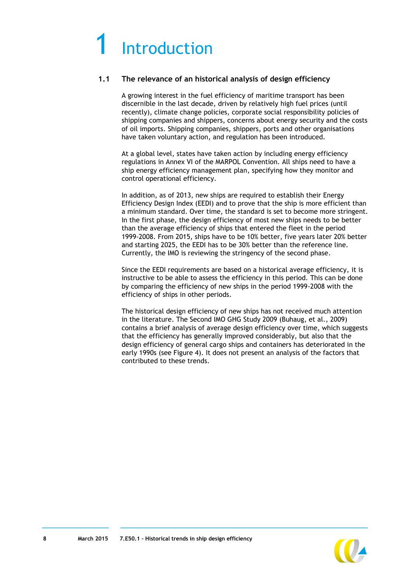## <span id="page-7-0"></span>**Introduction**

#### <span id="page-7-1"></span>**1.1 The relevance of an historical analysis of design efficiency**

A growing interest in the fuel efficiency of maritime transport has been discernible in the last decade, driven by relatively high fuel prices (until recently), climate change policies, corporate social responsibility policies of shipping companies and shippers, concerns about energy security and the costs of oil imports. Shipping companies, shippers, ports and other organisations have taken voluntary action, and regulation has been introduced.

At a global level, states have taken action by including energy efficiency regulations in Annex VI of the MARPOL Convention. All ships need to have a ship energy efficiency management plan, specifying how they monitor and control operational efficiency.

In addition, as of 2013, new ships are required to establish their Energy Efficiency Design Index (EEDI) and to prove that the ship is more efficient than a minimum standard. Over time, the standard is set to become more stringent. In the first phase, the design efficiency of most new ships needs to be better than the average efficiency of ships that entered the fleet in the period 1999-2008. From 2015, ships have to be 10% better, five years later 20% better and starting 2025, the EEDI has to be 30% better than the reference line. Currently, the IMO is reviewing the stringency of the second phase.

Since the EEDI requirements are based on a historical average efficiency, it is instructive to be able to assess the efficiency in this period. This can be done by comparing the efficiency of new ships in the period 1999-2008 with the efficiency of ships in other periods.

The historical design efficiency of new ships has not received much attention in the literature. The Second IMO GHG Study 2009 (Buhaug, et al., 2009) contains a brief analysis of average design efficiency over time, which suggests that the efficiency has generally improved considerably, but also that the design efficiency of general cargo ships and containers has deteriorated in the early 1990s (see [Figure 4\)](#page-8-0). It does not present an analysis of the factors that contributed to these trends.

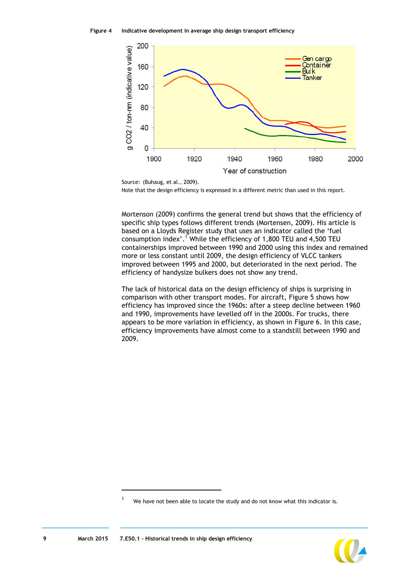<span id="page-8-0"></span>

Source: (Buhaug, et al., 2009). Note that the design efficiency is expressed in a different metric than used in this report.

Mortenson (2009) confirms the general trend but shows that the efficiency of specific ship types follows different trends (Mortensen, 2009). His article is based on a Lloyds Register study that uses an indicator called the 'fuel consumption index'.<sup>1</sup> While the efficiency of 1,800 TEU and 4,500 TEU containerships improved between 1990 and 2000 using this index and remained more or less constant until 2009, the design efficiency of VLCC tankers improved between 1995 and 2000, but deteriorated in the next period. The efficiency of handysize bulkers does not show any trend.

The lack of historical data on the design efficiency of ships is surprising in comparison with other transport modes. For aircraft, [Figure 5](#page-9-1) shows how efficiency has improved since the 1960s: after a steep decline between 1960 and 1990, improvements have levelled off in the 2000s. For trucks, there appears to be more variation in efficiency, as shown in [Figure 6.](#page-9-2) In this case, efficiency improvements have almost come to a standstill between 1990 and 2009.



-

<sup>&</sup>lt;sup>1</sup> We have not been able to locate the study and do not know what this indicator is.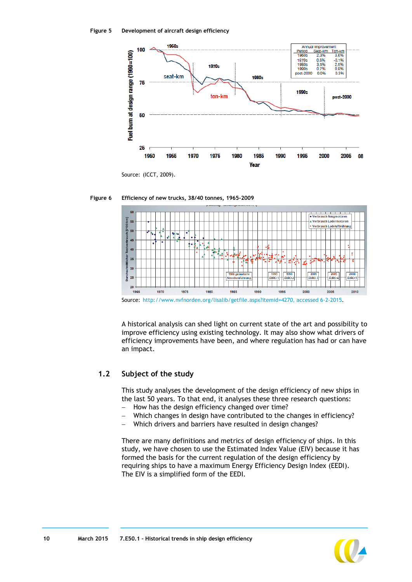<span id="page-9-1"></span>

Source: (ICCT, 2009).

<span id="page-9-2"></span>



Source: [http://www.nvfnorden.org/lisalib/getfile.aspx?itemid=4270, accessed 6-2-2015.](http://www.nvfnorden.org/lisalib/getfile.aspx?itemid=4270,%20accessed%206-2-2015)

A historical analysis can shed light on current state of the art and possibility to improve efficiency using existing technology. It may also show what drivers of efficiency improvements have been, and where regulation has had or can have an impact.

#### <span id="page-9-0"></span>**1.2 Subject of the study**

This study analyses the development of the design efficiency of new ships in the last 50 years. To that end, it analyses these three research questions:

- How has the design efficiency changed over time?
- Which changes in design have contributed to the changes in efficiency?
- Which drivers and barriers have resulted in design changes?

There are many definitions and metrics of design efficiency of ships. In this study, we have chosen to use the Estimated Index Value (EIV) because it has formed the basis for the current regulation of the design efficiency by requiring ships to have a maximum Energy Efficiency Design Index (EEDI). The EIV is a simplified form of the EEDI.

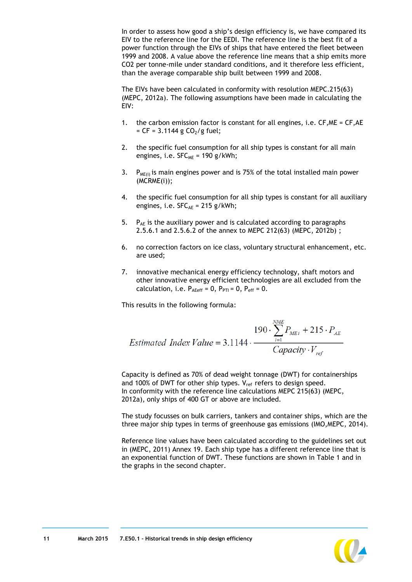In order to assess how good a ship's design efficiency is, we have compared its EIV to the reference line for the EEDI. The reference line is the best fit of a power function through the EIVs of ships that have entered the fleet between 1999 and 2008. A value above the reference line means that a ship emits more CO2 per tonne-mile under standard conditions, and it therefore less efficient, than the average comparable ship built between 1999 and 2008.

The EIVs have been calculated in conformity with resolution MEPC.215(63) (MEPC, 2012a). The following assumptions have been made in calculating the EIV:

- 1. the carbon emission factor is constant for all engines, i.e. CF,ME = CF,AE  $= CF = 3.1144 g CO<sub>2</sub>/g fuel;$
- 2. the specific fuel consumption for all ship types is constant for all main engines, i.e.  $SFC_{MF} = 190$  g/kWh;
- 3. P<sub>ME(i)</sub> is main engines power and is 75% of the total installed main power (MCRME(i));
- 4. the specific fuel consumption for all ship types is constant for all auxiliary engines, i.e.  $SFC_{AE} = 215$  g/kWh;
- 5.  $P_{AE}$  is the auxiliary power and is calculated according to paragraphs 2.5.6.1 and 2.5.6.2 of the annex to MEPC 212(63) (MEPC, 2012b) ;
- 6. no correction factors on ice class, voluntary structural enhancement, etc. are used;
- 7. innovative mechanical energy efficiency technology, shaft motors and other innovative energy efficient technologies are all excluded from the calculation, i.e.  $P_{A\text{Eeff}} = 0$ ,  $P_{PTI} = 0$ ,  $P_{eff} = 0$ .

This results in the following formula:

$$
190 \cdot \sum_{i=1}^{NME} P_{MEi} + 215 \cdot P_{AE}
$$
  
Estimated Index Value = 3.1144 · 
$$
\frac{Capacity \cdot V_{ref}}{Capacity \cdot V_{ref}}
$$

Capacity is defined as 70% of dead weight tonnage (DWT) for containerships and 100% of DWT for other ship types.  $V_{ref}$  refers to design speed. In conformity with the reference line calculations MEPC 215(63) (MEPC, 2012a), only ships of 400 GT or above are included.

The study focusses on bulk carriers, tankers and container ships, which are the three major ship types in terms of greenhouse gas emissions (IMO,MEPC, 2014).

Reference line values have been calculated according to the guidelines set out in (MEPC, 2011) Annex 19. Each ship type has a different reference line that is an exponential function of DWT. These functions are shown in [Table 1](#page-11-1) and in the graphs in the second chapter.

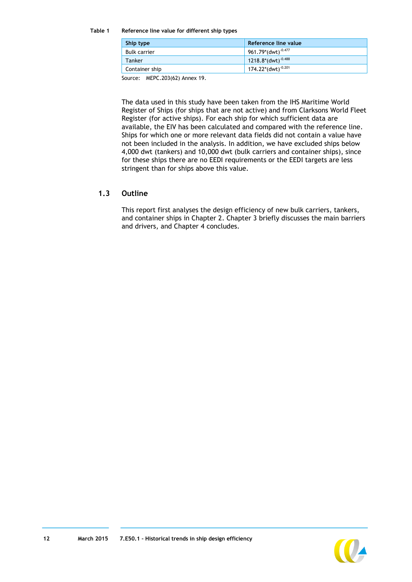#### <span id="page-11-1"></span>**Table 1 Reference line value for different ship types**

| Ship type           | Reference line value           |
|---------------------|--------------------------------|
| <b>Bulk carrier</b> | 961.79*(dwt) <sup>-0.477</sup> |
| Tanker              | 1218.8*(dwt) $^{-0.488}$       |
| Container ship      | 174.22*(dwt) <sup>-0.201</sup> |

Source: MEPC.203(62) Annex 19.

The data used in this study have been taken from the IHS Maritime World Register of Ships (for ships that are not active) and from Clarksons World Fleet Register (for active ships). For each ship for which sufficient data are available, the EIV has been calculated and compared with the reference line. Ships for which one or more relevant data fields did not contain a value have not been included in the analysis. In addition, we have excluded ships below 4,000 dwt (tankers) and 10,000 dwt (bulk carriers and container ships), since for these ships there are no EEDI requirements or the EEDI targets are less stringent than for ships above this value.

#### <span id="page-11-0"></span>**1.3 Outline**

This report first analyses the design efficiency of new bulk carriers, tankers, and container ships in Chapter [2.](#page-12-0) Chapter [3](#page-24-0) briefly discusses the main barriers and drivers, and Chapter [4](#page-27-0) concludes.

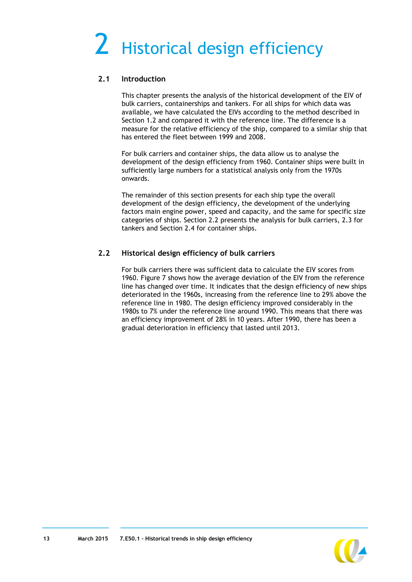# <span id="page-12-0"></span>2 Historical design efficiency

#### <span id="page-12-1"></span>**2.1 Introduction**

This chapter presents the analysis of the historical development of the EIV of bulk carriers, containerships and tankers. For all ships for which data was available, we have calculated the EIVs according to the method described in Section [1.2](#page-9-0) and compared it with the reference line. The difference is a measure for the relative efficiency of the ship, compared to a similar ship that has entered the fleet between 1999 and 2008.

For bulk carriers and container ships, the data allow us to analyse the development of the design efficiency from 1960. Container ships were built in sufficiently large numbers for a statistical analysis only from the 1970s onwards.

The remainder of this section presents for each ship type the overall development of the design efficiency, the development of the underlying factors main engine power, speed and capacity, and the same for specific size categories of ships. Section [2.2](#page-12-2) presents the analysis for bulk carriers, [2.3](#page-17-0) for tankers and Section [2.4](#page-20-0) for container ships.

### <span id="page-12-2"></span>**2.2 Historical design efficiency of bulk carriers**

For bulk carriers there was sufficient data to calculate the EIV scores from 1960. [Figure 7](#page-13-0) shows how the average deviation of the EIV from the reference line has changed over time. It indicates that the design efficiency of new ships deteriorated in the 1960s, increasing from the reference line to 29% above the reference line in 1980. The design efficiency improved considerably in the 1980s to 7% under the reference line around 1990. This means that there was an efficiency improvement of 28% in 10 years. After 1990, there has been a gradual deterioration in efficiency that lasted until 2013.

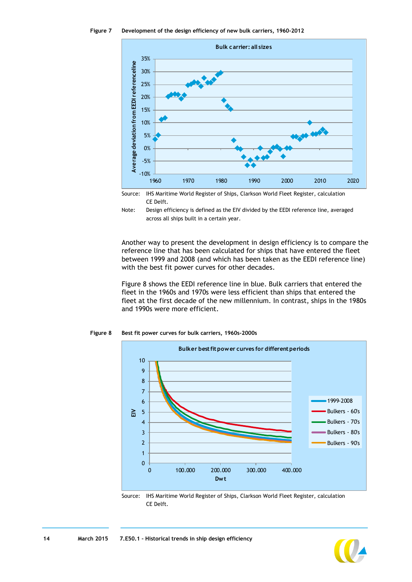<span id="page-13-0"></span>



Source: IHS Maritime World Register of Ships, Clarkson World Fleet Register, calculation CE Delft.



Another way to present the development in design efficiency is to compare the reference line that has been calculated for ships that have entered the fleet between 1999 and 2008 (and which has been taken as the EEDI reference line) with the best fit power curves for other decades.

[Figure 8](#page-13-1) shows the EEDI reference line in blue. Bulk carriers that entered the fleet in the 1960s and 1970s were less efficient than ships that entered the fleet at the first decade of the new millennium. In contrast, ships in the 1980s and 1990s were more efficient.



<span id="page-13-1"></span>**Figure 8 Best fit power curves for bulk carriers, 1960s-2000s**



Source: IHS Maritime World Register of Ships, Clarkson World Fleet Register, calculation CE Delft.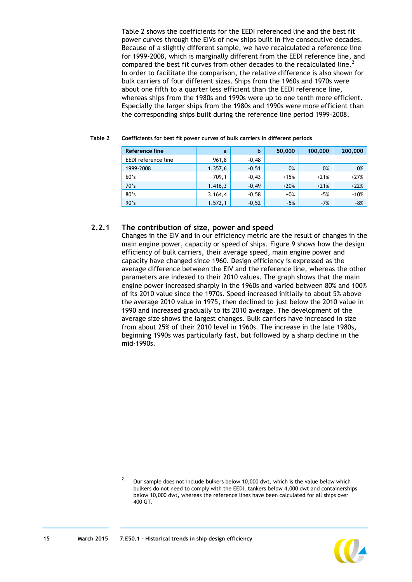[Table 2](#page-14-0) shows the coefficients for the EEDI referenced line and the best fit power curves through the EIVs of new ships built in five consecutive decades. Because of a slightly different sample, we have recalculated a reference line for 1999-2008, which is marginally different from the EEDI reference line, and compared the best fit curves from other decades to the recalculated line.<sup>2</sup> In order to facilitate the comparison, the relative difference is also shown for bulk carriers of four different sizes. Ships from the 1960s and 1970s were about one fifth to a quarter less efficient than the EEDI reference line, whereas ships from the 1980s and 1990s were up to one tenth more efficient. Especially the larger ships from the 1980s and 1990s were more efficient than the corresponding ships built during the reference line period 1999–2008.

| Reference line      | a        | b       | 50,000 | 100,000 | 200,000 |
|---------------------|----------|---------|--------|---------|---------|
| EEDI reference line | 961,8    | $-0,48$ |        |         |         |
| 1999-2008           | 1.357,6  | $-0,51$ | 0%     | 0%      | 0%      |
| 60's                | 709,1    | $-0,43$ | $+15%$ | $+21%$  | $+27%$  |
| 70's                | 1.416,3  | $-0.49$ | $+20%$ | $+21%$  | $+22%$  |
| 80's                | 3.164,4  | $-0,58$ | $+0%$  | $-5%$   | $-10%$  |
| 90's                | 1.572, 1 | $-0,52$ | $-5%$  | $-7%$   | $-8%$   |

#### <span id="page-14-0"></span>**Table 2 Coefficients for best fit power curves of bulk carriers in different periods**

#### **2.2.1 The contribution of size, power and speed**

Changes in the EIV and in our efficiency metric are the result of changes in the main engine power, capacity or speed of ships. [Figure 9](#page-15-0) shows how the design efficiency of bulk carriers, their average speed, main engine power and capacity have changed since 1960. Design efficiency is expressed as the average difference between the EIV and the reference line, whereas the other parameters are indexed to their 2010 values. The graph shows that the main engine power increased sharply in the 1960s and varied between 80% and 100% of its 2010 value since the 1970s. Speed increased initially to about 5% above the average 2010 value in 1975, then declined to just below the 2010 value in 1990 and increased gradually to its 2010 average. The development of the average size shows the largest changes. Bulk carriers have increased in size from about 25% of their 2010 level in 1960s. The increase in the late 1980s, beginning 1990s was particularly fast, but followed by a sharp decline in the mid-1990s.

<sup>2</sup> Our sample does not include bulkers below 10,000 dwt, which is the value below which bulkers do not need to comply with the EEDI, tankers below 4,000 dwt and containerships below 10,000 dwt, whereas the reference lines have been calculated for all ships over 400 GT.



-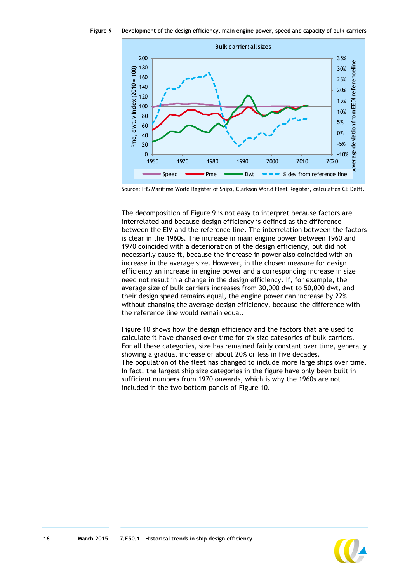<span id="page-15-0"></span>**Figure 9 Development of the design efficiency, main engine power, speed and capacity of bulk carriers**



Source: IHS Maritime World Register of Ships, Clarkson World Fleet Register, calculation CE Delft.

The decomposition of [Figure 9](#page-15-0) is not easy to interpret because factors are interrelated and because design efficiency is defined as the difference between the EIV and the reference line. The interrelation between the factors is clear in the 1960s. The increase in main engine power between 1960 and 1970 coincided with a deterioration of the design efficiency, but did not necessarily cause it, because the increase in power also coincided with an increase in the average size. However, in the chosen measure for design efficiency an increase in engine power and a corresponding increase in size need not result in a change in the design efficiency. If, for example, the average size of bulk carriers increases from 30,000 dwt to 50,000 dwt, and their design speed remains equal, the engine power can increase by 22% without changing the average design efficiency, because the difference with the reference line would remain equal.

[Figure 10](#page-16-0) shows how the design efficiency and the factors that are used to calculate it have changed over time for six size categories of bulk carriers. For all these categories, size has remained fairly constant over time, generally showing a gradual increase of about 20% or less in five decades. The population of the fleet has changed to include more large ships over time. In fact, the largest ship size categories in the figure have only been built in sufficient numbers from 1970 onwards, which is why the 1960s are not included in the two bottom panels of [Figure 10.](#page-16-0)

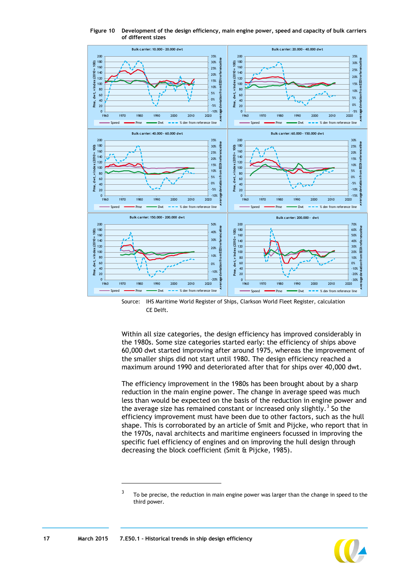<span id="page-16-0"></span>

**Figure 10 Development of the design efficiency, main engine power, speed and capacity of bulk carriers of different sizes**

Source: IHS Maritime World Register of Ships, Clarkson World Fleet Register, calculation CE Delft.

Within all size categories, the design efficiency has improved considerably in the 1980s. Some size categories started early: the efficiency of ships above 60,000 dwt started improving after around 1975, whereas the improvement of the smaller ships did not start until 1980. The design efficiency reached a maximum around 1990 and deteriorated after that for ships over 40,000 dwt.

The efficiency improvement in the 1980s has been brought about by a sharp reduction in the main engine power. The change in average speed was much less than would be expected on the basis of the reduction in engine power and the average size has remained constant or increased only slightly.<sup>3</sup> So the efficiency improvement must have been due to other factors, such as the hull shape. This is corroborated by an article of Smit and Pijcke, who report that in the 1970s, naval architects and maritime engineers focussed in improving the specific fuel efficiency of engines and on improving the hull design through decreasing the block coefficient (Smit & Pijcke, 1985).

 $\overline{a}$ 



<sup>3</sup> To be precise, the reduction in main engine power was larger than the change in speed to the third power.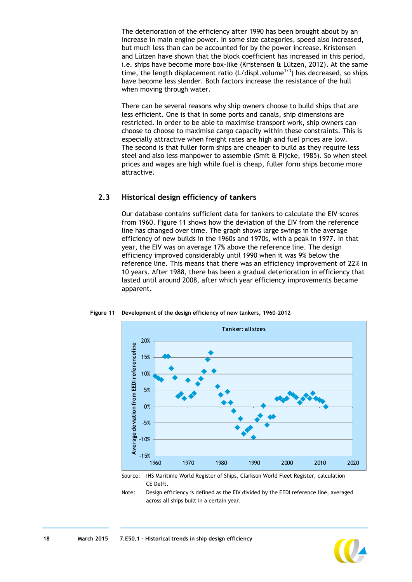The deterioration of the efficiency after 1990 has been brought about by an increase in main engine power. In some size categories, speed also increased, but much less than can be accounted for by the power increase. Kristensen and Lützen have shown that the block coefficient has increased in this period, i.e. ships have become more box-like (Kristensen & Lützen, 2012). At the same time, the length displacement ratio (L/displ.volume<sup>1/3</sup>) has decreased, so ships have become less slender. Both factors increase the resistance of the hull when moving through water.

There can be several reasons why ship owners choose to build ships that are less efficient. One is that in some ports and canals, ship dimensions are restricted. In order to be able to maximise transport work, ship owners can choose to choose to maximise cargo capacity within these constraints. This is especially attractive when freight rates are high and fuel prices are low. The second is that fuller form ships are cheaper to build as they require less steel and also less manpower to assemble (Smit & Pijcke, 1985). So when steel prices and wages are high while fuel is cheap, fuller form ships become more attractive.

#### <span id="page-17-0"></span>**2.3 Historical design efficiency of tankers**

Our database contains sufficient data for tankers to calculate the EIV scores from 1960. [Figure 11](#page-17-1) shows how the deviation of the EIV from the reference line has changed over time. The graph shows large swings in the average efficiency of new builds in the 1960s and 1970s, with a peak in 1977. In that year, the EIV was on average 17% above the reference line. The design efficiency improved considerably until 1990 when it was 9% below the reference line. This means that there was an efficiency improvement of 22% in 10 years. After 1988, there has been a gradual deterioration in efficiency that lasted until around 2008, after which year efficiency improvements became apparent.



<span id="page-17-1"></span>**Figure 11 Development of the design efficiency of new tankers, 1960-2012**

Source: IHS Maritime World Register of Ships, Clarkson World Fleet Register, calculation CE Delft.

Note: Design efficiency is defined as the EIV divided by the EEDI reference line, averaged across all ships built in a certain year.

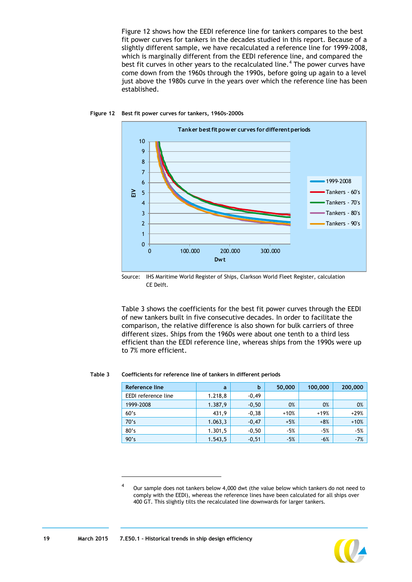[Figure 12](#page-18-0) shows how the EEDI reference line for tankers compares to the best fit power curves for tankers in the decades studied in this report. Because of a slightly different sample, we have recalculated a reference line for 1999-2008, which is marginally different from the EEDI reference line, and compared the best fit curves in other years to the recalculated line.<sup>4</sup> The power curves have come down from the 1960s through the 1990s, before going up again to a level just above the 1980s curve in the years over which the reference line has been established.



#### <span id="page-18-0"></span>**Figure 12 Best fit power curves for tankers, 1960s-2000s**

Source: IHS Maritime World Register of Ships, Clarkson World Fleet Register, calculation CE Delft.

[Table 3](#page-18-1) shows the coefficients for the best fit power curves through the EEDI of new tankers built in five consecutive decades. In order to facilitate the comparison, the relative difference is also shown for bulk carriers of three different sizes. Ships from the 1960s were about one tenth to a third less efficient than the EEDI reference line, whereas ships from the 1990s were up to 7% more efficient.

#### <span id="page-18-1"></span>**Table 3 Coefficients for reference line of tankers in different periods**

| Reference line      | a       | b       | 50,000 | 100,000 | 200,000 |
|---------------------|---------|---------|--------|---------|---------|
| EEDI reference line | 1.218,8 | $-0,49$ |        |         |         |
| 1999-2008           | 1.387,9 | $-0,50$ | 0%     | 0%      | 0%      |
| 60's                | 431,9   | $-0,38$ | $+10%$ | $+19%$  | $+29%$  |
| 70's                | 1.063,3 | $-0,47$ | $+5%$  | $+8%$   | $+10%$  |
| 80's                | 1.301,5 | $-0,50$ | $-5%$  | $-5%$   | $-5%$   |
| 90's                | 1.543,5 | $-0,51$ | $-5%$  | $-6%$   | $-7%$   |

-



<sup>4</sup> Our sample does not tankers below 4,000 dwt (the value below which tankers do not need to comply with the EEDI), whereas the reference lines have been calculated for all ships over 400 GT. This slightly tilts the recalculated line downwards for larger tankers.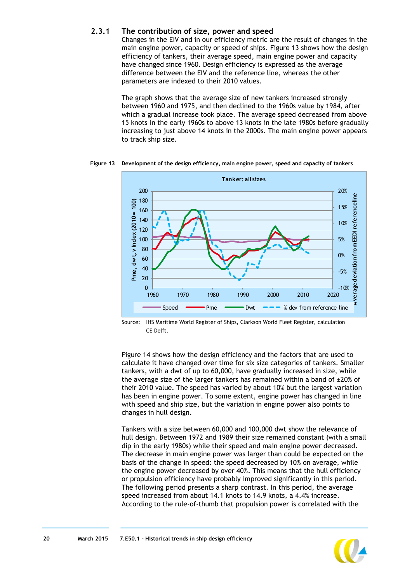#### **2.3.1 The contribution of size, power and speed**

Changes in the EIV and in our efficiency metric are the result of changes in the main engine power, capacity or speed of ships. [Figure 13](#page-19-0) shows how the design efficiency of tankers, their average speed, main engine power and capacity have changed since 1960. Design efficiency is expressed as the average difference between the EIV and the reference line, whereas the other parameters are indexed to their 2010 values.

The graph shows that the average size of new tankers increased strongly between 1960 and 1975, and then declined to the 1960s value by 1984, after which a gradual increase took place. The average speed decreased from above 15 knots in the early 1960s to above 13 knots in the late 1980s before gradually increasing to just above 14 knots in the 2000s. The main engine power appears to track ship size.

**Tanker: all sizes** 200 20% **Average deviation from EEDI referenceline** referenceline 180  $P$ me, dwt, v $Index(2010 = 100)$ **Pme, dwt, v Index (2010 = 100)** 15% 160 140 10% 120 deviation from EEDI 100 5% 80 0% 60 40 -5% 20 rage  $\Omega$  $-10%$ 1960 1970 1980 1990 2000 2010 2020 Aver Speed  $\longrightarrow$  Pme  $\longrightarrow$  Dwt  $\longrightarrow$  % dev from reference line

<span id="page-19-0"></span>**Figure 13 Development of the design efficiency, main engine power, speed and capacity of tankers**

Source: IHS Maritime World Register of Ships, Clarkson World Fleet Register, calculation CE Delft.

[Figure 14](#page-20-1) shows how the design efficiency and the factors that are used to calculate it have changed over time for six size categories of tankers. Smaller tankers, with a dwt of up to 60,000, have gradually increased in size, while the average size of the larger tankers has remained within a band of  $\pm 20\%$  of their 2010 value. The speed has varied by about 10% but the largest variation has been in engine power. To some extent, engine power has changed in line with speed and ship size, but the variation in engine power also points to changes in hull design.

Tankers with a size between 60,000 and 100,000 dwt show the relevance of hull design. Between 1972 and 1989 their size remained constant (with a small dip in the early 1980s) while their speed and main engine power decreased. The decrease in main engine power was larger than could be expected on the basis of the change in speed: the speed decreased by 10% on average, while the engine power decreased by over 40%. This means that the hull efficiency or propulsion efficiency have probably improved significantly in this period. The following period presents a sharp contrast. In this period, the average speed increased from about 14.1 knots to 14.9 knots, a 4.4% increase. According to the rule-of-thumb that propulsion power is correlated with the

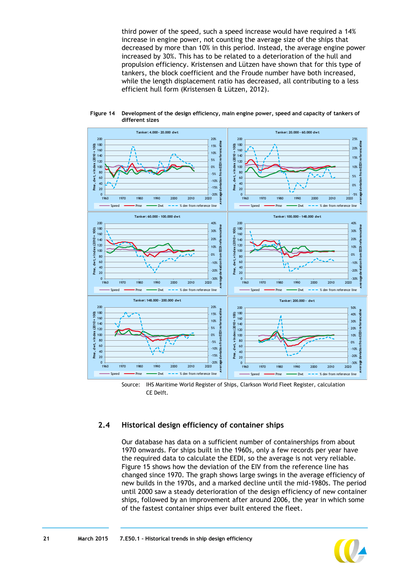third power of the speed, such a speed increase would have required a 14% increase in engine power, not counting the average size of the ships that decreased by more than 10% in this period. Instead, the average engine power increased by 30%. This has to be related to a deterioration of the hull and propulsion efficiency. Kristensen and Lützen have shown that for this type of tankers, the block coefficient and the Froude number have both increased, while the length displacement ratio has decreased, all contributing to a less efficient hull form (Kristensen & Lützen, 2012).



<span id="page-20-1"></span>**Figure 14 Development of the design efficiency, main engine power, speed and capacity of tankers of different sizes**

#### <span id="page-20-0"></span>**2.4 Historical design efficiency of container ships**

Our database has data on a sufficient number of containerships from about 1970 onwards. For ships built in the 1960s, only a few records per year have the required data to calculate the EEDI, so the average is not very reliable. [Figure 15](#page-21-0) shows how the deviation of the EIV from the reference line has changed since 1970. The graph shows large swings in the average efficiency of new builds in the 1970s, and a marked decline until the mid-1980s. The period until 2000 saw a steady deterioration of the design efficiency of new container ships, followed by an improvement after around 2006, the year in which some of the fastest container ships ever built entered the fleet.



Source: IHS Maritime World Register of Ships, Clarkson World Fleet Register, calculation CE Delft.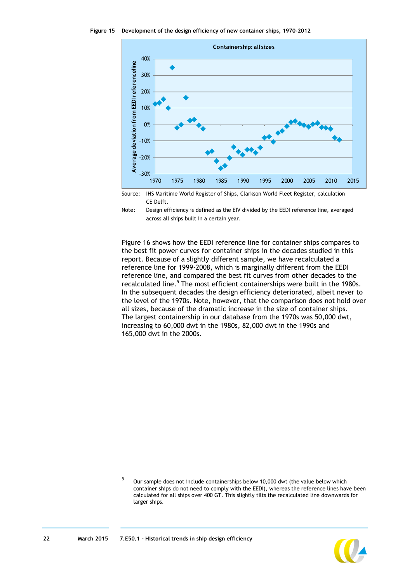<span id="page-21-0"></span>



Source: IHS Maritime World Register of Ships, Clarkson World Fleet Register, calculation CE Delft.



[Figure 16](#page-22-0) shows how the EEDI reference line for container ships compares to the best fit power curves for container ships in the decades studied in this report. Because of a slightly different sample, we have recalculated a reference line for 1999-2008, which is marginally different from the EEDI reference line, and compared the best fit curves from other decades to the recalculated line.<sup>5</sup> The most efficient containerships were built in the 1980s. In the subsequent decades the design efficiency deteriorated, albeit never to the level of the 1970s. Note, however, that the comparison does not hold over all sizes, because of the dramatic increase in the size of container ships. The largest containership in our database from the 1970s was 50,000 dwt, increasing to 60,000 dwt in the 1980s, 82,000 dwt in the 1990s and 165,000 dwt in the 2000s.

<sup>5</sup> Our sample does not include containerships below 10,000 dwt (the value below which container ships do not need to comply with the EEDI), whereas the reference lines have been calculated for all ships over 400 GT. This slightly tilts the recalculated line downwards for larger ships.



-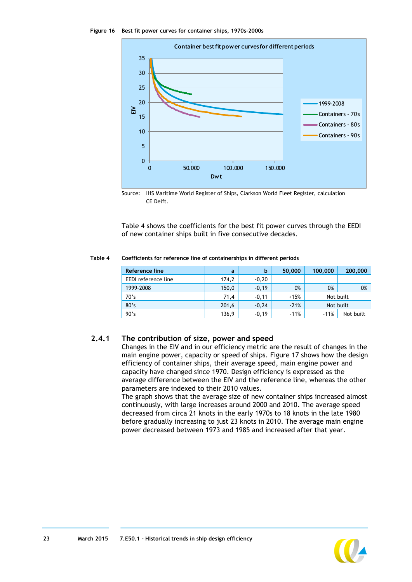<span id="page-22-0"></span>

Source: IHS Maritime World Register of Ships, Clarkson World Fleet Register, calculation CE Delft.

[Table 4](#page-22-1) shows the coefficients for the best fit power curves through the EEDI of new container ships built in five consecutive decades.

#### <span id="page-22-1"></span>**Table 4 Coefficients for reference line of containerships in different periods**

| Reference line      | a     | b       | 50,000 | 100,000   | 200,000   |
|---------------------|-------|---------|--------|-----------|-----------|
| EEDI reference line | 174,2 | $-0,20$ |        |           |           |
| 1999-2008           | 150,0 | $-0,19$ | 0%     | 0%        | 0%        |
| 70's                | 71,4  | $-0,11$ | $+15%$ | Not built |           |
| 80's                | 201,6 | $-0,24$ | $-21%$ | Not built |           |
| 90's                | 136,9 | $-0,19$ | $-11%$ | $-11%$    | Not built |

#### **2.4.1 The contribution of size, power and speed**

Changes in the EIV and in our efficiency metric are the result of changes in the main engine power, capacity or speed of ships. [Figure 17](#page-23-0) shows how the design efficiency of container ships, their average speed, main engine power and capacity have changed since 1970. Design efficiency is expressed as the average difference between the EIV and the reference line, whereas the other parameters are indexed to their 2010 values.

The graph shows that the average size of new container ships increased almost continuously, with large increases around 2000 and 2010. The average speed decreased from circa 21 knots in the early 1970s to 18 knots in the late 1980 before gradually increasing to just 23 knots in 2010. The average main engine power decreased between 1973 and 1985 and increased after that year.

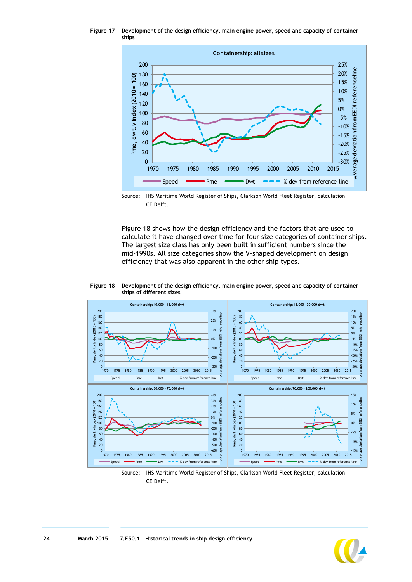<span id="page-23-0"></span>**Figure 17 Development of the design efficiency, main engine power, speed and capacity of container ships**



Source: IHS Maritime World Register of Ships, Clarkson World Fleet Register, calculation CE Delft.

[Figure 18](#page-23-1) shows how the design efficiency and the factors that are used to calculate it have changed over time for four size categories of container ships. The largest size class has only been built in sufficient numbers since the mid-1990s. All size categories show the V-shaped development on design efficiency that was also apparent in the other ship types.

#### <span id="page-23-1"></span>**Figure 18 Development of the design efficiency, main engine power, speed and capacity of container ships of different sizes**



Source: IHS Maritime World Register of Ships, Clarkson World Fleet Register, calculation CE Delft.

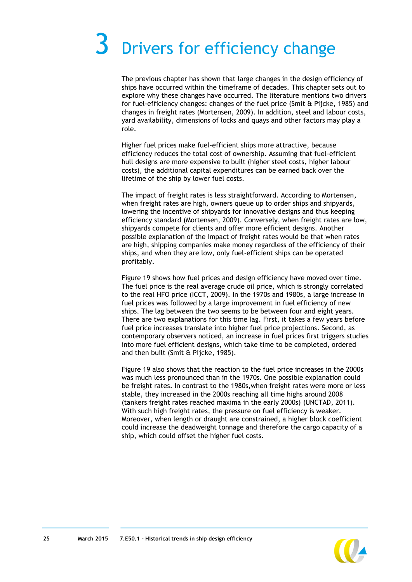## <span id="page-24-0"></span>Drivers for efficiency change

The previous chapter has shown that large changes in the design efficiency of ships have occurred within the timeframe of decades. This chapter sets out to explore why these changes have occurred. The literature mentions two drivers for fuel-efficiency changes: changes of the fuel price (Smit & Pijcke, 1985) and changes in freight rates (Mortensen, 2009). In addition, steel and labour costs, yard availability, dimensions of locks and quays and other factors may play a role.

Higher fuel prices make fuel-efficient ships more attractive, because efficiency reduces the total cost of ownership. Assuming that fuel-efficient hull designs are more expensive to built (higher steel costs, higher labour costs), the additional capital expenditures can be earned back over the lifetime of the ship by lower fuel costs.

The impact of freight rates is less straightforward. According to Mortensen, when freight rates are high, owners queue up to order ships and shipyards, lowering the incentive of shipyards for innovative designs and thus keeping efficiency standard (Mortensen, 2009). Conversely, when freight rates are low, shipyards compete for clients and offer more efficient designs. Another possible explanation of the impact of freight rates would be that when rates are high, shipping companies make money regardless of the efficiency of their ships, and when they are low, only fuel-efficient ships can be operated profitably.

[Figure 19](#page-25-0) shows how fuel prices and design efficiency have moved over time. The fuel price is the real average crude oil price, which is strongly correlated to the real HFO price (ICCT, 2009). In the 1970s and 1980s, a large increase in fuel prices was followed by a large improvement in fuel efficiency of new ships. The lag between the two seems to be between four and eight years. There are two explanations for this time lag. First, it takes a few years before fuel price increases translate into higher fuel price projections. Second, as contemporary observers noticed, an increase in fuel prices first triggers studies into more fuel efficient designs, which take time to be completed, ordered and then built (Smit & Pijcke, 1985).

[Figure 19](#page-25-0) also shows that the reaction to the fuel price increases in the 2000s was much less pronounced than in the 1970s. One possible explanation could be freight rates. In contrast to the 1980s,when freight rates were more or less stable, they increased in the 2000s reaching all time highs around 2008 (tankers freight rates reached maxima in the early 2000s) (UNCTAD, 2011). With such high freight rates, the pressure on fuel efficiency is weaker. Moreover, when length or draught are constrained, a higher block coefficient could increase the deadweight tonnage and therefore the cargo capacity of a ship, which could offset the higher fuel costs.

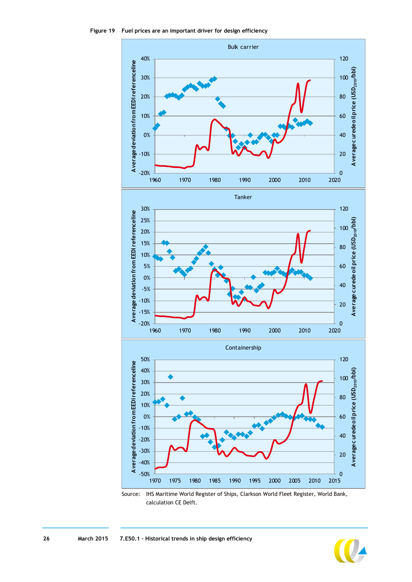<span id="page-25-0"></span>



Source: IHS Maritime World Register of Ships, Clarkson World Fleet Register, World Bank, calculation CE Delft.

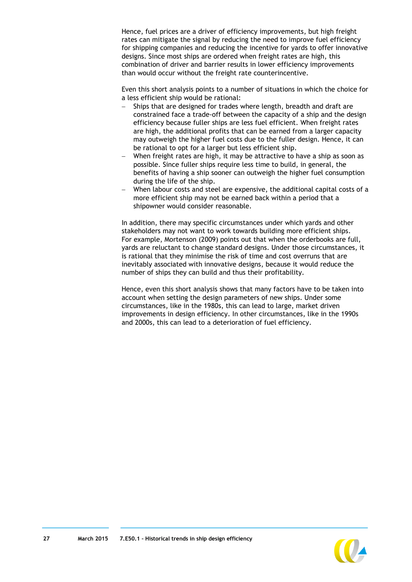Hence, fuel prices are a driver of efficiency improvements, but high freight rates can mitigate the signal by reducing the need to improve fuel efficiency for shipping companies and reducing the incentive for yards to offer innovative designs. Since most ships are ordered when freight rates are high, this combination of driver and barrier results in lower efficiency improvements than would occur without the freight rate counterincentive.

Even this short analysis points to a number of situations in which the choice for a less efficient ship would be rational:

- Ships that are designed for trades where length, breadth and draft are constrained face a trade-off between the capacity of a ship and the design efficiency because fuller ships are less fuel efficient. When freight rates are high, the additional profits that can be earned from a larger capacity may outweigh the higher fuel costs due to the fuller design. Hence, it can be rational to opt for a larger but less efficient ship.
- When freight rates are high, it may be attractive to have a ship as soon as possible. Since fuller ships require less time to build, in general, the benefits of having a ship sooner can outweigh the higher fuel consumption during the life of the ship.
- When labour costs and steel are expensive, the additional capital costs of a more efficient ship may not be earned back within a period that a shipowner would consider reasonable.

In addition, there may specific circumstances under which yards and other stakeholders may not want to work towards building more efficient ships. For example, Mortenson (2009) points out that when the orderbooks are full, yards are reluctant to change standard designs. Under those circumstances, it is rational that they minimise the risk of time and cost overruns that are inevitably associated with innovative designs, because it would reduce the number of ships they can build and thus their profitability.

Hence, even this short analysis shows that many factors have to be taken into account when setting the design parameters of new ships. Under some circumstances, like in the 1980s, this can lead to large, market driven improvements in design efficiency. In other circumstances, like in the 1990s and 2000s, this can lead to a deterioration of fuel efficiency.

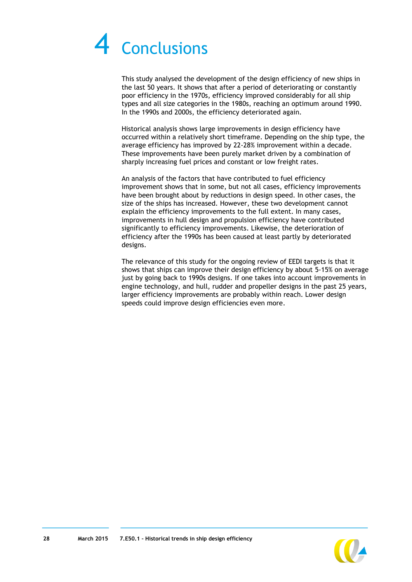## <span id="page-27-0"></span>**Conclusions**

This study analysed the development of the design efficiency of new ships in the last 50 years. It shows that after a period of deteriorating or constantly poor efficiency in the 1970s, efficiency improved considerably for all ship types and all size categories in the 1980s, reaching an optimum around 1990. In the 1990s and 2000s, the efficiency deteriorated again.

Historical analysis shows large improvements in design efficiency have occurred within a relatively short timeframe. Depending on the ship type, the average efficiency has improved by 22-28% improvement within a decade. These improvements have been purely market driven by a combination of sharply increasing fuel prices and constant or low freight rates.

An analysis of the factors that have contributed to fuel efficiency improvement shows that in some, but not all cases, efficiency improvements have been brought about by reductions in design speed. In other cases, the size of the ships has increased. However, these two development cannot explain the efficiency improvements to the full extent. In many cases, improvements in hull design and propulsion efficiency have contributed significantly to efficiency improvements. Likewise, the deterioration of efficiency after the 1990s has been caused at least partly by deteriorated designs.

The relevance of this study for the ongoing review of EEDI targets is that it shows that ships can improve their design efficiency by about 5-15% on average just by going back to 1990s designs. If one takes into account improvements in engine technology, and hull, rudder and propeller designs in the past 25 years, larger efficiency improvements are probably within reach. Lower design speeds could improve design efficiencies even more.